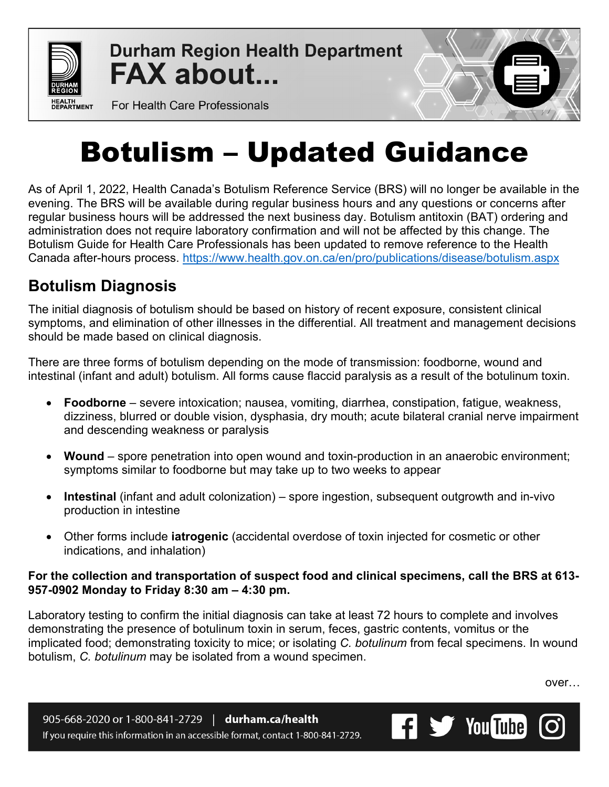

**Durham Region Health Department FAX about...** 



For Health Care Professionals

## Botulism – Updated Guidance

As of April 1, 2022, Health Canada's Botulism Reference Service (BRS) will no longer be available in the evening. The BRS will be available during regular business hours and any questions or concerns after regular business hours will be addressed the next business day. Botulism antitoxin (BAT) ordering and administration does not require laboratory confirmation and will not be affected by this change. The Botulism Guide for Health Care Professionals has been updated to remove reference to the Health Canada after-hours process. <https://www.health.gov.on.ca/en/pro/publications/disease/botulism.aspx>

## **Botulism Diagnosis**

The initial diagnosis of botulism should be based on history of recent exposure, consistent clinical symptoms, and elimination of other illnesses in the differential. All treatment and management decisions should be made based on clinical diagnosis.

There are three forms of botulism depending on the mode of transmission: foodborne, wound and intestinal (infant and adult) botulism. All forms cause flaccid paralysis as a result of the botulinum toxin.

- **Foodborne** severe intoxication; nausea, vomiting, diarrhea, constipation, fatigue, weakness, dizziness, blurred or double vision, dysphasia, dry mouth; acute bilateral cranial nerve impairment and descending weakness or paralysis
- **Wound** spore penetration into open wound and toxin-production in an anaerobic environment; symptoms similar to foodborne but may take up to two weeks to appear
- **Intestinal** (infant and adult colonization) spore ingestion, subsequent outgrowth and in-vivo production in intestine
- Other forms include **iatrogenic** (accidental overdose of toxin injected for cosmetic or other indications, and inhalation)

## **For the collection and transportation of suspect food and clinical specimens, call the BRS at 613- 957-0902 Monday to Friday 8:30 am – 4:30 pm.**

Laboratory testing to confirm the initial diagnosis can take at least 72 hours to complete and involves demonstrating the presence of botulinum toxin in serum, feces, gastric contents, vomitus or the implicated food; demonstrating toxicity to mice; or isolating *C. botulinum* from fecal specimens. In wound botulism, *C. botulinum* may be isolated from a wound specimen.

over…